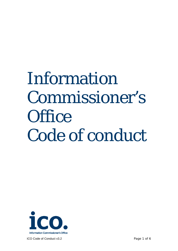## Information Commissioner's **Office** Code of conduct



ICO Code of Conduct v3.2 **Page 1 of 6**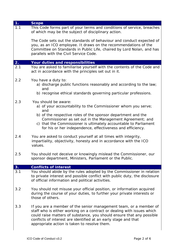| 1.  | <b>Scope</b>                                                                                                                                                                                                                                                                                                                            |
|-----|-----------------------------------------------------------------------------------------------------------------------------------------------------------------------------------------------------------------------------------------------------------------------------------------------------------------------------------------|
| 1.1 | This Code forms part of your terms and conditions of service, breaches<br>of which may be the subject of disciplinary action.                                                                                                                                                                                                           |
|     | The Code sets out the standards of behaviour and conduct expected of<br>you, as an ICO employee. It draws on the recommendations of the<br>Committee on Standards in Public Life, chaired by Lord Nolan, and has<br>parallels with the Civil Service Code.                                                                              |
| 2.  | Your duties and responsibilities                                                                                                                                                                                                                                                                                                        |
| 2.1 | You are asked to familiarise yourself with the contents of the Code and<br>act in accordance with the principles set out in it.                                                                                                                                                                                                         |
| 2.2 | You have a duty to:<br>a) discharge public functions reasonably and according to the law;<br>and                                                                                                                                                                                                                                        |
|     | b) recognise ethical standards governing particular professions.                                                                                                                                                                                                                                                                        |
| 2.3 | You should be aware:<br>a) of your accountability to the Commissioner whom you serve;<br>and                                                                                                                                                                                                                                            |
|     | b) of the respective roles of the sponsor department and the<br>Commissioner as set out in the Management Agreement; and<br>c) that the Commissioner is ultimately accountable to Parliament<br>for his or her independence, effectiveness and efficiency.                                                                              |
| 2.4 | You are asked to conduct yourself at all times with integrity,<br>impartiality, objectivity, honesty and in accordance with the ICO<br>values.                                                                                                                                                                                          |
| 2.5 | You should not deceive or knowingly mislead the Commissioner, our<br>sponsor department, Ministers, Parliament or the Public.                                                                                                                                                                                                           |
| 3.  | <b>Conflicts of interest</b>                                                                                                                                                                                                                                                                                                            |
| 3.1 | You should abide by the rules adopted by the Commissioner in relation<br>to private interest and possible conflict with public duty, the disclosure<br>of official information and political activities.                                                                                                                                |
| 3.2 | You should not misuse your official position, or information acquired<br>during the course of your duties, to further your private interests or<br>those of others.                                                                                                                                                                     |
| 3.3 | If you are a member of the senior management team, or a member of<br>staff who is either working on a contract or dealing with issues which<br>could raise matters of substance, you should ensure that any possible<br>conflicts of interest are identified at an early stage and that<br>appropriate action is taken to resolve them. |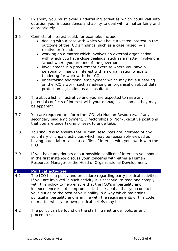- 3.4 *In short, you must avoid undertaking activities which could call into question your independence and ability to deal with a matter fairly and appropriately.*
- 3.5 Conflicts of interest could, for example, include:
	- dealing with a case with which you have a vested interest in the outcome of the ICO's findings, such as a case raised by a relative or friend;
	- working on a matter which involves an external organisation with which you have close dealings, such as a matter involving a school where you are one of the governors;
	- involvement in a procurement exercise where you have a personal or financial interest with an organisation which is tendering for work with the ICO;
	- undertaking additional employment which may have a bearing on the ICO's work, such as advising an organisation about data protection legislation as a consultant.
- 3.6 The above list is illustrative and you are expected to raise any potential conflicts of interest with your manager as soon as they may be apparent.
- 3.7 You are required to inform the ICO, via Human Resources, of any secondary paid employment, Directorships or Non-Executive positions that you are undertaking or seek to undertake.
- 3.8 You should also ensure that Human Resources are informed of any voluntary or unpaid activities which may be reasonably viewed as having potential to cause a conflict of interest with your work with the ICO.
- 3.9 If you have any doubts about possible conflicts of interests you should in the first instance discuss your concerns with either a Human Resources Manager or the Head of Organisational Development.

## **4 Political activities**

- 4.1 The ICO has a policy and procedure regarding party political activities. If you are involved in such activity it is essential to read and comply with this policy to help ensure that the ICO's impartiality and independence is not compromised. It is essential that you conduct your duties to the best of your ability in a way which maintains political impartiality and is in line with the requirements of this code, no matter what your own political beliefs may be.
- 4.2 The policy can be found on the staff intranet under policies and procedures.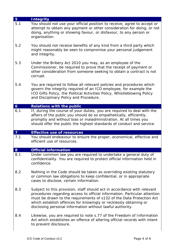| 5 <sup>1</sup> | <b>Integrity</b>                                                                                                                                                                                                                                                                                                                                               |
|----------------|----------------------------------------------------------------------------------------------------------------------------------------------------------------------------------------------------------------------------------------------------------------------------------------------------------------------------------------------------------------|
| 5.1            | You should not use your official position to receive, agree to accept or<br>attempt to obtain any payment or other consideration for doing, or not<br>doing, anything or showing favour, or disfavour, to any person or<br>organisation.                                                                                                                       |
| 5.2            | You should not receive benefits of any kind from a third party which<br>might reasonably be seen to compromise your personal judgement<br>and integrity.                                                                                                                                                                                                       |
| 5.3            | Under the Bribery Act 2010 you may, as an employee of the<br>Commissioner, be required to prove that the receipt of payment or<br>other consideration from someone seeking to obtain a contract is not<br>corrupt.                                                                                                                                             |
| 5.4            | You are required to follow all relevant policies and procedures which<br>govern the integrity required of an ICO employee, for example the<br>ICO Gifts Policy, the Political Activities Policy, Whistleblowing Policy<br>and Disciplinary Policy and Procedure.                                                                                               |
| $\mathbf{6}$   | <b>Relations with the public</b>                                                                                                                                                                                                                                                                                                                               |
| 6.1            | If, during the course of your duties, you are required to deal with the<br>affairs of the public you should do so empathetically, efficiently,<br>promptly and without bias or maladministration. At all times you<br>should offer the public the highest standards of conduct and service.                                                                    |
| 7 <sup>1</sup> | <b>Effective use of resources</b>                                                                                                                                                                                                                                                                                                                              |
| 7.1            | You should endeavour to ensure the proper, economical, effective and<br>efficient use of resources.                                                                                                                                                                                                                                                            |
| 8              | <b>Official information</b>                                                                                                                                                                                                                                                                                                                                    |
| 8.1            | Under common law you are required to undertake a general duty of<br>confidentiality. You are required to protect official information held in<br>confidence.                                                                                                                                                                                                   |
| 8.2            | Nothing in the Code should be taken as overriding existing statutory<br>or common law obligations to keep confidential, or in appropriate<br>cases to disclose, certain information.                                                                                                                                                                           |
| 8.3            | Subject to this provision, staff should act in accordance with relevant<br>procedures regarding access to official information. Particular attention<br>must be drawn to the requirements of s132 of the Data Protection Act<br>which establish offences for knowingly or recklessly obtaining or<br>disclosing personal information without lawful authority. |
| 8.4            | Likewise, you are required to note s.77 of the Freedom of Information<br>Act which establishes an offence of altering official records with intent<br>to prevent disclosure.                                                                                                                                                                                   |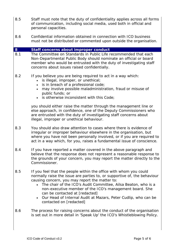- 8.5 Staff must note that the duty of confidentiality applies across all forms of communication, including social media, used both in official and personal capacities.
- 8.6 Confidential information obtained in connection with ICO business must not be distributed or commented upon outside the organisation.

## **8 Staff concerns about improper conduct**

- 8.1 The Committee on Standards in Public Life recommended that each Non-Departmental Public Body should nominate an official or board member who would be entrusted with the duty of investigating staff concerns about issues raised confidentially.
- 8.2 If you believe you are being required to act in a way which:
	- is illegal, improper, or unethical;
	- is in breach of a professional code;
	- may involve possible maladministration, fraud or misuse of public funds; or
	- is otherwise inconsistent with this Code;

you should either raise the matter through the management line or else approach, in confidence, one of the Deputy Commissioners who are entrusted with the duty of investigating staff concerns about illegal, improper or unethical behaviour.

- 8.3 You should also draw attention to cases where there is evidence of irregular or improper behaviour elsewhere in the organisation, but where you have not been personally involved, or if you are required to act in a way which, for you, raises a fundamental issue of conscience.
- 8.4 If you have reported a matter covered in the above paragraph and believe that the response does not represent a reasonable response to the grounds of your concern, you may report the matter directly to the Commissioner.
- 8.5 If you feel that the people within the office with whom you could normally raise the issue are parties to, or supportive of, the behaviour causing concern, you may report the matter to:
	- The chair of the ICO's Audit Committee, Ailsa Beaton, who is a non-executive member of the ICO's management board. She can be contacted at [redacted]
	- Our Head of Internal Audit at Mazars, Peter Cudlip, who can be contacted on [redacted]
- 8.6 The process for raising concerns about the conduct of the organisation is set out in more detail in 'Speak Up' the ICO's Whistleblowing Policy.